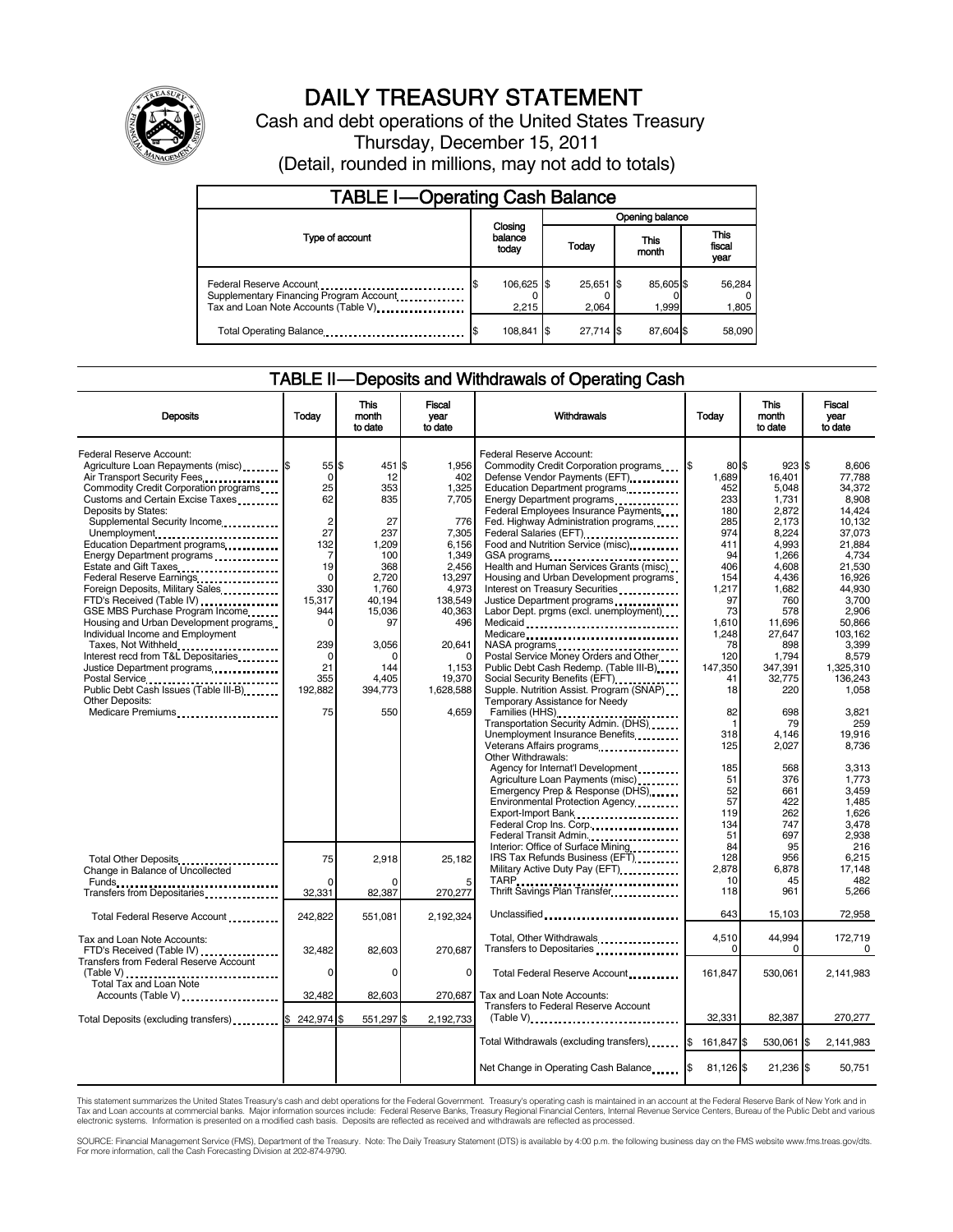

# DAILY TREASURY STATEMENT

Cash and debt operations of the United States Treasury Thursday, December 15, 2011 (Detail, rounded in millions, may not add to totals)

| <b>TABLE I-Operating Cash Balance</b>                                            |                             |                      |                    |                               |  |
|----------------------------------------------------------------------------------|-----------------------------|----------------------|--------------------|-------------------------------|--|
|                                                                                  |                             | Opening balance      |                    |                               |  |
| Type of account                                                                  | Closing<br>balance<br>today | Today                | This<br>month      | <b>This</b><br>fiscal<br>year |  |
| Tax and Loan Note Accounts (Table V) <b>Tax</b> and Loan Note Accounts (Table V) | 106,625 \$<br>2.215         | $25,651$ \$<br>2.064 | 85,605 \$<br>1.999 | 56,284<br>1,805               |  |
| Total Operating Balance                                                          | 108,841                     | 27.714 \$            | 87.604 \$          | 58,090                        |  |

### TABLE II — Deposits and Withdrawals of Operating Cash

| <b>Deposits</b>                                                                                                                                                                                                                                                                                                                                                                                                                                                                                                                                                                                                                                                                                                                              | Today                                                                                                                                                                    | <b>This</b><br>month<br>to date                                                                                                                                   | <b>Fiscal</b><br>year<br>to date                                                                                                                                                        | Today<br>Withdrawals                                                                                                                                                                                                                                                                                                                                                                                                                                                                                                                                                                                                                                                                                                                                                                                                                                                    |                                                                                                                                                                                             | <b>This</b><br>month<br>to date                                                                                                                                                                              | <b>Fiscal</b><br>vear<br>to date                                                                                                                                                                                                      |
|----------------------------------------------------------------------------------------------------------------------------------------------------------------------------------------------------------------------------------------------------------------------------------------------------------------------------------------------------------------------------------------------------------------------------------------------------------------------------------------------------------------------------------------------------------------------------------------------------------------------------------------------------------------------------------------------------------------------------------------------|--------------------------------------------------------------------------------------------------------------------------------------------------------------------------|-------------------------------------------------------------------------------------------------------------------------------------------------------------------|-----------------------------------------------------------------------------------------------------------------------------------------------------------------------------------------|-------------------------------------------------------------------------------------------------------------------------------------------------------------------------------------------------------------------------------------------------------------------------------------------------------------------------------------------------------------------------------------------------------------------------------------------------------------------------------------------------------------------------------------------------------------------------------------------------------------------------------------------------------------------------------------------------------------------------------------------------------------------------------------------------------------------------------------------------------------------------|---------------------------------------------------------------------------------------------------------------------------------------------------------------------------------------------|--------------------------------------------------------------------------------------------------------------------------------------------------------------------------------------------------------------|---------------------------------------------------------------------------------------------------------------------------------------------------------------------------------------------------------------------------------------|
| Federal Reserve Account:<br>Agriculture Loan Repayments (misc) \$<br>Air Transport Security Fees<br>Commodity Credit Corporation programs<br>Customs and Certain Excise Taxes<br>Deposits by States:<br>Supplemental Security Income<br>Unemployment<br>Education Department programs<br>Energy Department programs<br>Estate and Gift Taxes<br>Federal Reserve Earnings<br>Foreign Deposits, Military Sales<br>FTD's Received (Table IV)<br>GSE MBS Purchase Program Income<br>Housing and Urban Development programs<br>Individual Income and Employment<br>Taxes, Not Withheld<br>Interest recd from T&L Depositaries<br>Justice Department programs<br><br>Public Debt Cash Issues (Table III-B)<br>Other Deposits:<br>Medicare Premiums | 55 \$<br>$\Omega$<br>25<br>62<br>$\overline{c}$<br>27<br>132<br>7<br>19<br>$\Omega$<br>330<br>15,317<br>944<br>$\Omega$<br>239<br>$\Omega$<br>21<br>355<br>192,882<br>75 | 451 \$<br>12<br>353<br>835<br>27<br>237<br>1,209<br>100<br>368<br>2.720<br>1.760<br>40,194<br>15,036<br>97<br>3,056<br>$\Omega$<br>144<br>4.405<br>394,773<br>550 | 1.956<br>402<br>1.325<br>7,705<br>776<br>7,305<br>6,156<br>1,349<br>2,456<br>13,297<br>4,973<br>138,549<br>40,363<br>496<br>20,641<br>$\Omega$<br>1,153<br>19.370<br>1,628,588<br>4.659 | Federal Reserve Account:<br>Commodity Credit Corporation programs<br>Defense Vendor Payments (EFT)<br>Education Department programs<br>Energy Department programs<br>Federal Employees Insurance Payments<br>Fed. Highway Administration programs<br>Federal Salaries (EFT)<br>Federal Salaries (EFT)<br>Food and Nutrition Service (misc)<br>GSA programs<br>Health and Human Services Grants (misc)<br>Housing and Urban Development programs<br>Interest on Treasury Securities<br>Justice Department programs<br>Labor Dept. prgms (excl. unemployment)<br>Medicare<br>Postal Service Money Orders and Other<br>Public Debt Cash Redemp. (Table III-B)<br>Social Security Benefits (EFT)<br>Supple. Nutrition Assist. Program (SNAP)<br>Temporary Assistance for Needy<br>Families (HHS)<br>Transportation Security Admin. (DHS)<br>Unemployment Insurance Benefits | l\$<br>80 \$<br>1,689<br>452<br>233<br>180<br>285<br>974<br>411<br>94<br>406<br>154<br>1,217<br>97<br>73<br>1.610<br>1,248<br>78<br>120<br>147,350<br>41<br>18<br>82<br>$\mathbf{1}$<br>318 | 923S<br>16.401<br>5.048<br>1,731<br>2.872<br>2,173<br>8,224<br>4,993<br>1,266<br>4,608<br>4.436<br>1.682<br>760<br>578<br>11,696<br>27,647<br>898<br>1,794<br>347.391<br>32,775<br>220<br>698<br>79<br>4,146 | 8.606<br>77.788<br>34.372<br>8,908<br>14.424<br>10,132<br>37,073<br>21.884<br>4,734<br>21,530<br>16.926<br>44.930<br>3,700<br>2,906<br>50.866<br>103,162<br>3,399<br>8.579<br>1.325.310<br>136.243<br>1,058<br>3,821<br>259<br>19.916 |
|                                                                                                                                                                                                                                                                                                                                                                                                                                                                                                                                                                                                                                                                                                                                              |                                                                                                                                                                          |                                                                                                                                                                   |                                                                                                                                                                                         | Veterans Affairs programs<br>Other Withdrawals:<br>Agency for Internat'l Development<br>Agriculture Loan Payments (misc)<br>Emergency Prep & Response (DHS)<br>Environmental Protection Agency<br>Export-Import Bank<br>Federal Crop Ins. Corp.<br>Federal Transit Admin.                                                                                                                                                                                                                                                                                                                                                                                                                                                                                                                                                                                               | 125<br>185<br>51<br>52<br>57<br>119<br>134<br>51                                                                                                                                            | 2,027<br>568<br>376<br>661<br>422<br>262<br>747<br>697                                                                                                                                                       | 8.736<br>3,313<br>1.773<br>3,459<br>1,485<br>1,626<br>3,478<br>2,938                                                                                                                                                                  |
| Total Other Deposits<br>Change in Balance of Uncollected                                                                                                                                                                                                                                                                                                                                                                                                                                                                                                                                                                                                                                                                                     | 75<br>$\Omega$                                                                                                                                                           | 2,918<br>ŋ                                                                                                                                                        | 25,182                                                                                                                                                                                  | Interior: Office of Surface Mining<br>IRS Tax Refunds Business (EFT)<br>Military Active Duty Pay (EFT)                                                                                                                                                                                                                                                                                                                                                                                                                                                                                                                                                                                                                                                                                                                                                                  | 84<br>128<br>2,878<br>10                                                                                                                                                                    | 95<br>956<br>6,878<br>45                                                                                                                                                                                     | 216<br>6.215<br>17,148<br>482                                                                                                                                                                                                         |
| Transfers from Depositaries                                                                                                                                                                                                                                                                                                                                                                                                                                                                                                                                                                                                                                                                                                                  | 32,331                                                                                                                                                                   | 82,387                                                                                                                                                            | 270,277                                                                                                                                                                                 | Thrift Savings Plan Transfer                                                                                                                                                                                                                                                                                                                                                                                                                                                                                                                                                                                                                                                                                                                                                                                                                                            | 118                                                                                                                                                                                         | 961                                                                                                                                                                                                          | 5.266                                                                                                                                                                                                                                 |
| Total Federal Reserve Account                                                                                                                                                                                                                                                                                                                                                                                                                                                                                                                                                                                                                                                                                                                | 242,822                                                                                                                                                                  | 551,081                                                                                                                                                           | 2,192,324                                                                                                                                                                               | Unclassified                                                                                                                                                                                                                                                                                                                                                                                                                                                                                                                                                                                                                                                                                                                                                                                                                                                            | 643                                                                                                                                                                                         | 15,103                                                                                                                                                                                                       | 72,958                                                                                                                                                                                                                                |
| Tax and Loan Note Accounts:<br>FTD's Received (Table IV)<br><b>Transfers from Federal Reserve Account</b>                                                                                                                                                                                                                                                                                                                                                                                                                                                                                                                                                                                                                                    | 32,482                                                                                                                                                                   | 82,603                                                                                                                                                            | 270,687                                                                                                                                                                                 | Total, Other Withdrawals<br>Transfers to Depositaries                                                                                                                                                                                                                                                                                                                                                                                                                                                                                                                                                                                                                                                                                                                                                                                                                   | 4,510<br>$\Omega$                                                                                                                                                                           | 44,994<br>0                                                                                                                                                                                                  | 172,719<br>0                                                                                                                                                                                                                          |
|                                                                                                                                                                                                                                                                                                                                                                                                                                                                                                                                                                                                                                                                                                                                              | 0                                                                                                                                                                        | 0                                                                                                                                                                 | $\mathbf 0$                                                                                                                                                                             | Total Federal Reserve Account                                                                                                                                                                                                                                                                                                                                                                                                                                                                                                                                                                                                                                                                                                                                                                                                                                           | 161.847                                                                                                                                                                                     | 530.061                                                                                                                                                                                                      | 2,141,983                                                                                                                                                                                                                             |
| Accounts (Table V)<br>Total Deposits (excluding transfers)                                                                                                                                                                                                                                                                                                                                                                                                                                                                                                                                                                                                                                                                                   | 32,482<br>242,974 \$                                                                                                                                                     | 82,603<br>551,297 \$                                                                                                                                              | 270,687<br>2,192,733                                                                                                                                                                    | Tax and Loan Note Accounts:<br>Transfers to Federal Reserve Account<br>$(Table V)$                                                                                                                                                                                                                                                                                                                                                                                                                                                                                                                                                                                                                                                                                                                                                                                      | 32,331                                                                                                                                                                                      | 82,387                                                                                                                                                                                                       | 270,277                                                                                                                                                                                                                               |
|                                                                                                                                                                                                                                                                                                                                                                                                                                                                                                                                                                                                                                                                                                                                              |                                                                                                                                                                          |                                                                                                                                                                   |                                                                                                                                                                                         |                                                                                                                                                                                                                                                                                                                                                                                                                                                                                                                                                                                                                                                                                                                                                                                                                                                                         | 161,847                                                                                                                                                                                     | 530,061                                                                                                                                                                                                      | I\$<br>2,141,983                                                                                                                                                                                                                      |
|                                                                                                                                                                                                                                                                                                                                                                                                                                                                                                                                                                                                                                                                                                                                              |                                                                                                                                                                          |                                                                                                                                                                   |                                                                                                                                                                                         | Net Change in Operating Cash Balance                                                                                                                                                                                                                                                                                                                                                                                                                                                                                                                                                                                                                                                                                                                                                                                                                                    | $81,126$ \$                                                                                                                                                                                 | 21,236 \$                                                                                                                                                                                                    | 50,751                                                                                                                                                                                                                                |

This statement summarizes the United States Treasury's cash and debt operations for the Federal Government. Treasury's operating cash is maintained in an account at the Federal Reserve Bank of New York and in Tax and Loan accounts at commercial banks. Major information sources include: Federal Reserve Banks, Treasury Regional Financial Centers, Internal Revenue Service Centers, Bureau of the Public Debt and various<br>electronic s

SOURCE: Financial Management Service (FMS), Department of the Treasury. Note: The Daily Treasury Statement (DTS) is available by 4:00 p.m. the following business day on the FMS website www.fms.treas.gov/dts.<br>For more infor